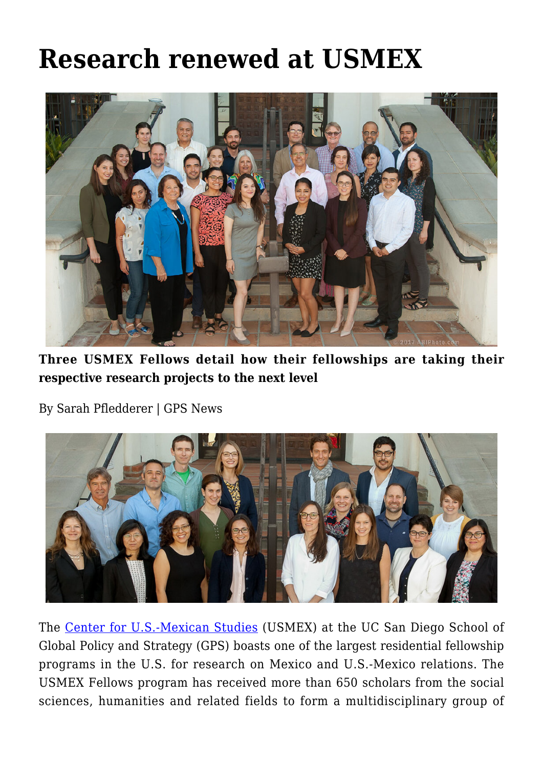## **[Research renewed at USMEX](https://gpsnews.ucsd.edu/research-renewed-at-usmex/)**



**Three USMEX Fellows detail how their fellowships are taking their respective research projects to the next level**

By Sarah Pfledderer | GPS News



The [Center for U.S.-Mexican Studies](http://usmex.ucsd.edu/) (USMEX) at the UC San Diego School of Global Policy and Strategy (GPS) boasts one of the largest residential fellowship programs in the U.S. for research on Mexico and U.S.-Mexico relations. The USMEX Fellows program has received more than 650 scholars from the social sciences, humanities and related fields to form a multidisciplinary group of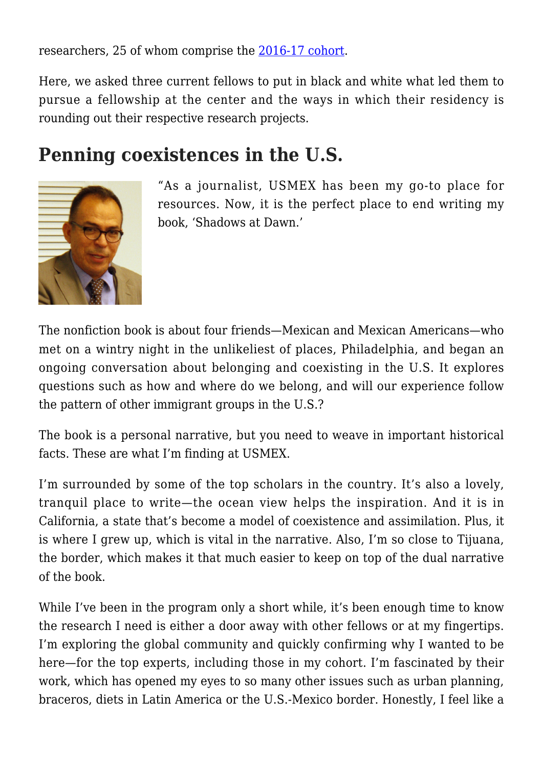researchers, 25 of whom comprise the [2016-17 cohort.](https://usmex.ucsd.edu/fellows/index.html)

Here, we asked three current fellows to put in black and white what led them to pursue a fellowship at the center and the ways in which their residency is rounding out their respective research projects.

## **Penning coexistences in the U.S.**



"As a journalist, USMEX has been my go-to place for resources. Now, it is the perfect place to end writing my book, 'Shadows at Dawn.'

The nonfiction book is about four friends—Mexican and Mexican Americans—who met on a wintry night in the unlikeliest of places, Philadelphia, and began an ongoing conversation about belonging and coexisting in the U.S. It explores questions such as how and where do we belong, and will our experience follow the pattern of other immigrant groups in the U.S.?

The book is a personal narrative, but you need to weave in important historical facts. These are what I'm finding at USMEX.

I'm surrounded by some of the top scholars in the country. It's also a lovely, tranquil place to write—the ocean view helps the inspiration. And it is in California, a state that's become a model of coexistence and assimilation. Plus, it is where I grew up, which is vital in the narrative. Also, I'm so close to Tijuana, the border, which makes it that much easier to keep on top of the dual narrative of the book.

While I've been in the program only a short while, it's been enough time to know the research I need is either a door away with other fellows or at my fingertips. I'm exploring the global community and quickly confirming why I wanted to be here—for the top experts, including those in my cohort. I'm fascinated by their work, which has opened my eyes to so many other issues such as urban planning, braceros, diets in Latin America or the U.S.-Mexico border. Honestly, I feel like a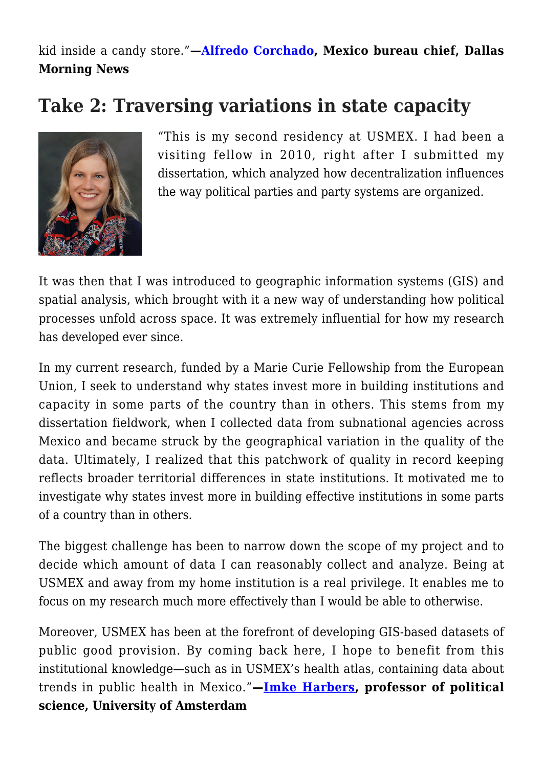kid inside a candy store."**—[Alfredo Corchado,](https://usmex.ucsd.edu/fellows/corchado.html) Mexico bureau chief, Dallas Morning News**

## **Take 2: Traversing variations in state capacity**



"This is my second residency at USMEX. I had been a visiting fellow in 2010, right after I submitted my dissertation, which analyzed how decentralization influences the way political parties and party systems are organized.

It was then that I was introduced to geographic information systems (GIS) and spatial analysis, which brought with it a new way of understanding how political processes unfold across space. It was extremely influential for how my research has developed ever since.

In my current research, funded by a Marie Curie Fellowship from the European Union, I seek to understand why states invest more in building institutions and capacity in some parts of the country than in others. This stems from my dissertation fieldwork, when I collected data from subnational agencies across Mexico and became struck by the geographical variation in the quality of the data. Ultimately, I realized that this patchwork of quality in record keeping reflects broader territorial differences in state institutions. It motivated me to investigate why states invest more in building effective institutions in some parts of a country than in others.

The biggest challenge has been to narrow down the scope of my project and to decide which amount of data I can reasonably collect and analyze. Being at USMEX and away from my home institution is a real privilege. It enables me to focus on my research much more effectively than I would be able to otherwise.

Moreover, USMEX has been at the forefront of developing GIS-based datasets of public good provision. By coming back here, I hope to benefit from this institutional knowledge—such as in USMEX's health atlas, containing data about trends in public health in Mexico."**—[Imke Harbers](https://usmex.ucsd.edu/fellows/harbers.html), professor of political science, University of Amsterdam**